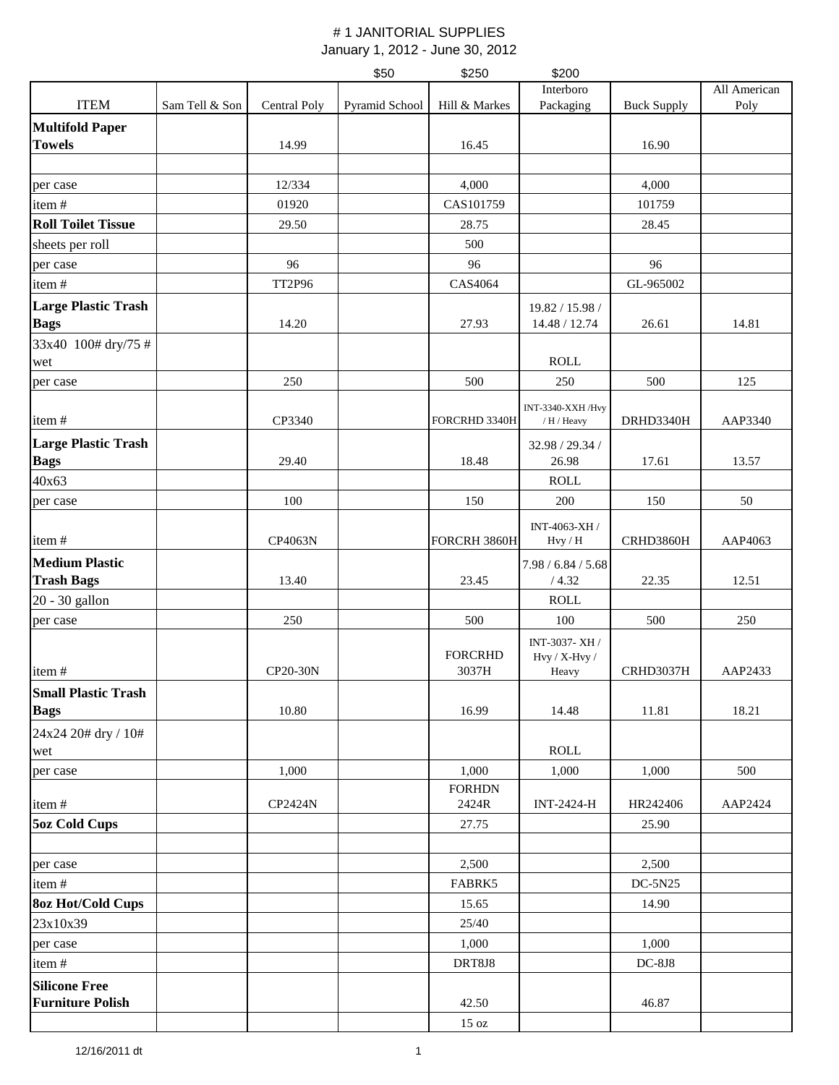|                                                    |                |                | \$50           | \$250                   | \$200                                   |                    |              |
|----------------------------------------------------|----------------|----------------|----------------|-------------------------|-----------------------------------------|--------------------|--------------|
|                                                    |                |                |                |                         | Interboro                               |                    | All American |
| <b>ITEM</b>                                        | Sam Tell & Son | Central Poly   | Pyramid School | Hill & Markes           | Packaging                               | <b>Buck Supply</b> | Poly         |
| <b>Multifold Paper</b><br><b>Towels</b>            |                | 14.99          |                | 16.45                   |                                         | 16.90              |              |
|                                                    |                |                |                |                         |                                         |                    |              |
| per case                                           |                | 12/334         |                | 4,000                   |                                         | 4,000              |              |
| item#                                              |                | 01920          |                | CAS101759               |                                         | 101759             |              |
| <b>Roll Toilet Tissue</b>                          |                | 29.50          |                | 28.75                   |                                         | 28.45              |              |
| sheets per roll                                    |                |                |                | 500                     |                                         |                    |              |
| per case                                           |                | 96             |                | 96                      |                                         | 96                 |              |
| item#                                              |                | <b>TT2P96</b>  |                | CAS4064                 |                                         | GL-965002          |              |
| <b>Large Plastic Trash</b><br><b>Bags</b>          |                | 14.20          |                | 27.93                   | 19.82 / 15.98 /<br>14.48 / 12.74        | 26.61              | 14.81        |
| 33x40 100# dry/75 #<br>wet                         |                |                |                |                         | <b>ROLL</b>                             |                    |              |
| per case                                           |                | 250            |                | 500                     | 250                                     | 500                | 125          |
| item#                                              |                | CP3340         |                | FORCRHD 3340H           | INT-3340-XXH/Hvy<br>/ H / Heavy         | DRHD3340H          | AAP3340      |
| <b>Large Plastic Trash</b><br><b>Bags</b><br>40x63 |                | 29.40          |                | 18.48                   | 32.98 / 29.34 /<br>26.98<br><b>ROLL</b> | 17.61              | 13.57        |
| per case                                           |                | 100            |                | 150                     | 200                                     | 150                | 50           |
| item#                                              |                | CP4063N        |                | FORCRH 3860H            | INT-4063-XH /<br>$Hv$ / $H$             | CRHD3860H          | AAP4063      |
| <b>Medium Plastic</b>                              |                |                |                |                         |                                         |                    |              |
| <b>Trash Bags</b>                                  |                | 13.40          |                | 23.45                   | 7.98 / 6.84 / 5.68<br>/4.32             | 22.35              | 12.51        |
| 20 - 30 gallon                                     |                |                |                |                         | <b>ROLL</b>                             |                    |              |
| per case                                           |                | 250            |                | 500                     | 100                                     | 500                | 250          |
| item#                                              |                | CP20-30N       |                | <b>FORCRHD</b><br>3037H | INT-3037-XH /<br>Hvy / X-Hvy /<br>Heavy | CRHD3037H          | AAP2433      |
| <b>Small Plastic Trash</b>                         |                |                |                |                         |                                         |                    |              |
| <b>Bags</b>                                        |                | 10.80          |                | 16.99                   | 14.48                                   | 11.81              | 18.21        |
| 24x24 20# dry / 10#<br>wet                         |                |                |                |                         | <b>ROLL</b>                             |                    |              |
| per case                                           |                | 1,000          |                | 1,000                   | 1,000                                   | 1,000              | 500          |
| item#                                              |                | <b>CP2424N</b> |                | <b>FORHDN</b><br>2424R  | <b>INT-2424-H</b>                       | HR242406           | AAP2424      |
| 5oz Cold Cups                                      |                |                |                | 27.75                   |                                         | 25.90              |              |
| per case                                           |                |                |                | 2,500                   |                                         | 2,500              |              |
| item#                                              |                |                |                | FABRK5                  |                                         | $DC-5N25$          |              |
| <b>8oz Hot/Cold Cups</b>                           |                |                |                | 15.65                   |                                         | 14.90              |              |
| 23x10x39                                           |                |                |                | 25/40                   |                                         |                    |              |
| per case                                           |                |                |                | 1,000                   |                                         | 1,000              |              |
| item#                                              |                |                |                | DRT8J8                  |                                         | $DC-8J8$           |              |
| <b>Silicone Free</b>                               |                |                |                |                         |                                         |                    |              |
| <b>Furniture Polish</b>                            |                |                |                | 42.50                   |                                         | 46.87              |              |
|                                                    |                |                |                | 15 oz                   |                                         |                    |              |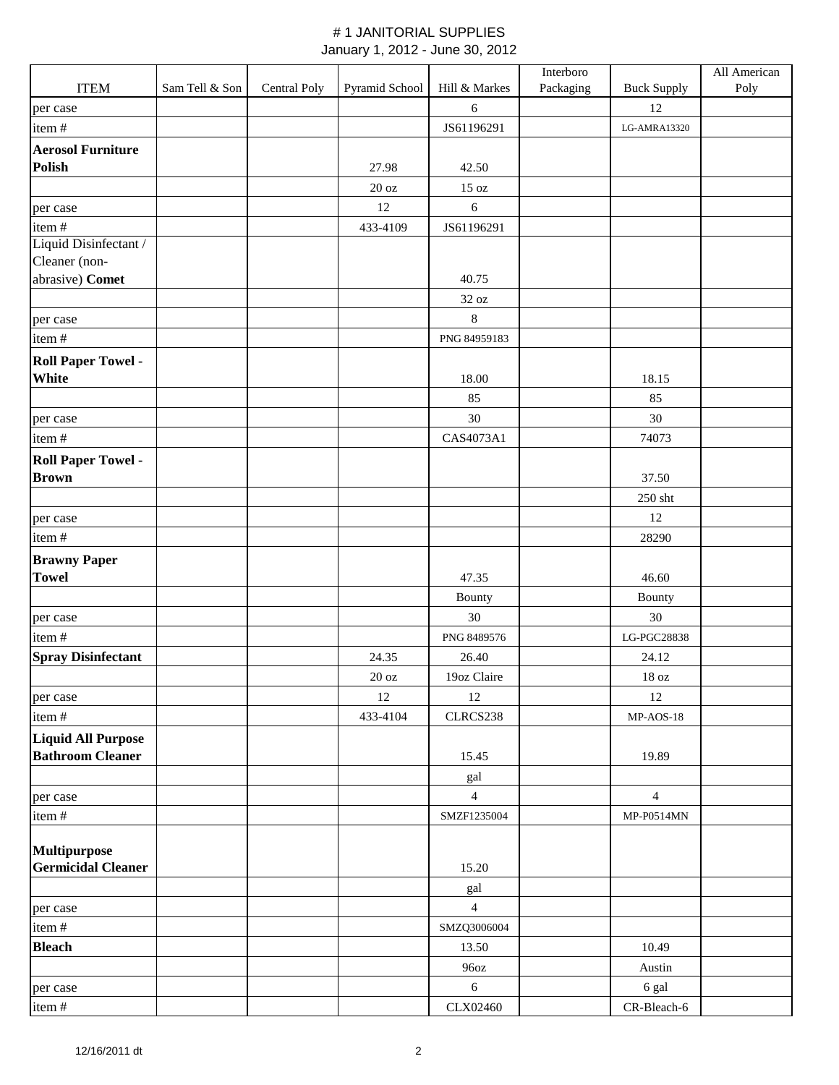|                           |                |              |                   |                | Interboro |                    | All American |
|---------------------------|----------------|--------------|-------------------|----------------|-----------|--------------------|--------------|
| <b>ITEM</b>               | Sam Tell & Son | Central Poly | Pyramid School    | Hill & Markes  | Packaging | <b>Buck Supply</b> | Poly         |
| per case                  |                |              |                   | 6              |           | 12                 |              |
| item#                     |                |              |                   | JS61196291     |           | LG-AMRA13320       |              |
| <b>Aerosol Furniture</b>  |                |              |                   |                |           |                    |              |
| <b>Polish</b>             |                |              | 27.98             | 42.50          |           |                    |              |
|                           |                |              | 20 oz             | 15 oz          |           |                    |              |
| per case                  |                |              | $12\,$            | 6              |           |                    |              |
| item#                     |                |              | 433-4109          | JS61196291     |           |                    |              |
| Liquid Disinfectant /     |                |              |                   |                |           |                    |              |
| Cleaner (non-             |                |              |                   |                |           |                    |              |
| abrasive) Comet           |                |              |                   | 40.75          |           |                    |              |
|                           |                |              |                   | 32 oz          |           |                    |              |
| per case                  |                |              |                   | 8              |           |                    |              |
| item#                     |                |              |                   | PNG 84959183   |           |                    |              |
| <b>Roll Paper Towel -</b> |                |              |                   |                |           |                    |              |
| White                     |                |              |                   | 18.00          |           | 18.15              |              |
|                           |                |              |                   | 85             |           | 85                 |              |
| per case                  |                |              |                   | 30             |           | 30                 |              |
| item#                     |                |              |                   | CAS4073A1      |           | 74073              |              |
| <b>Roll Paper Towel -</b> |                |              |                   |                |           |                    |              |
| <b>Brown</b>              |                |              |                   |                |           | 37.50              |              |
|                           |                |              |                   |                |           | 250 sht            |              |
| per case                  |                |              |                   |                |           | 12                 |              |
| item#                     |                |              |                   |                |           | 28290              |              |
| <b>Brawny Paper</b>       |                |              |                   |                |           |                    |              |
| <b>Towel</b>              |                |              |                   | 47.35          |           | 46.60              |              |
|                           |                |              |                   | Bounty         |           | Bounty             |              |
| per case                  |                |              |                   | 30             |           | 30                 |              |
| item#                     |                |              |                   | PNG 8489576    |           | LG-PGC28838        |              |
| <b>Spray Disinfectant</b> |                |              | 24.35             | 26.40          |           | 24.12              |              |
|                           |                |              | $20\ \mathrm{oz}$ | 19oz Claire    |           | $18\ \mathrm{oz}$  |              |
| per case                  |                |              | 12                | 12             |           | 12                 |              |
| item#                     |                |              | 433-4104          | CLRCS238       |           | $MP-AOS-18$        |              |
| <b>Liquid All Purpose</b> |                |              |                   |                |           |                    |              |
| <b>Bathroom Cleaner</b>   |                |              |                   | 15.45          |           | 19.89              |              |
|                           |                |              |                   | gal            |           |                    |              |
| per case                  |                |              |                   | $\overline{4}$ |           | $\overline{4}$     |              |
| item#                     |                |              |                   | SMZF1235004    |           | MP-P0514MN         |              |
|                           |                |              |                   |                |           |                    |              |
| <b>Multipurpose</b>       |                |              |                   |                |           |                    |              |
| <b>Germicidal Cleaner</b> |                |              |                   | 15.20          |           |                    |              |
|                           |                |              |                   | gal            |           |                    |              |
| per case                  |                |              |                   | $\overline{4}$ |           |                    |              |
| item#                     |                |              |                   | SMZQ3006004    |           |                    |              |
| <b>Bleach</b>             |                |              |                   | 13.50          |           | 10.49              |              |
|                           |                |              |                   | 96oz           |           | Austin             |              |
| per case                  |                |              |                   | 6              |           | 6 gal              |              |
| item#                     |                |              |                   | CLX02460       |           | CR-Bleach-6        |              |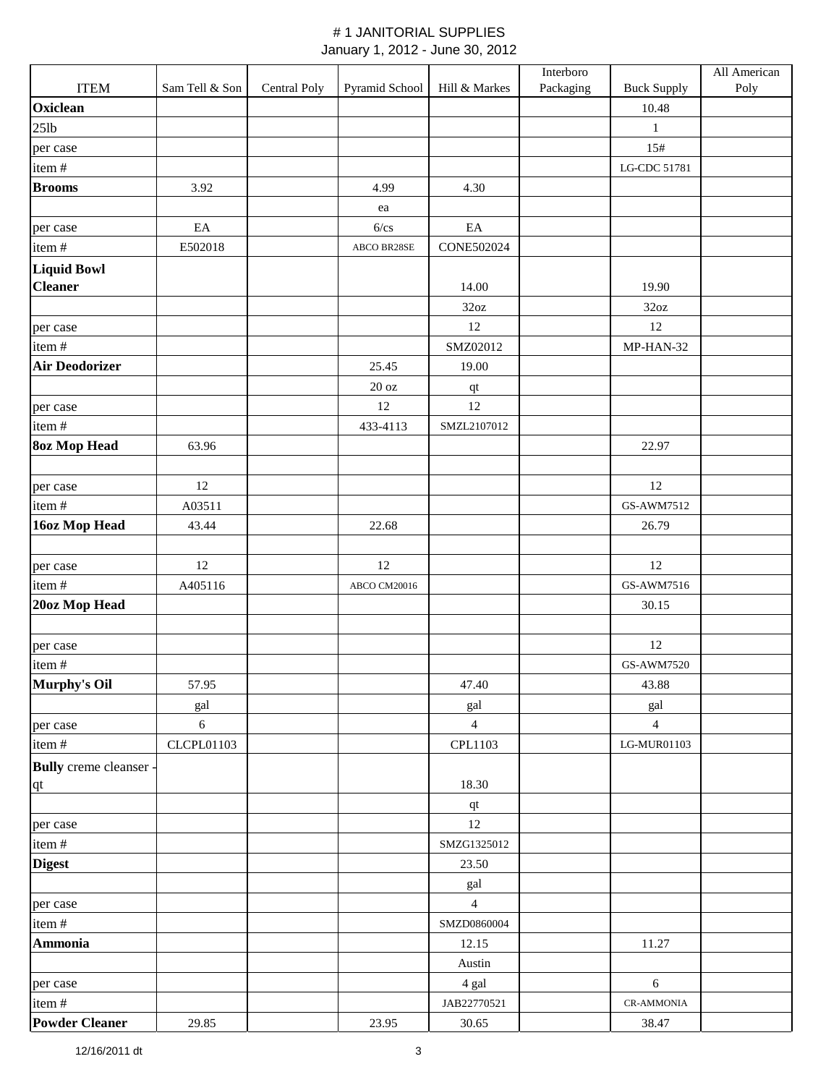|                               |                |              |                   |                       | Interboro |                    | All American |
|-------------------------------|----------------|--------------|-------------------|-----------------------|-----------|--------------------|--------------|
| <b>ITEM</b>                   | Sam Tell & Son | Central Poly | Pyramid School    | Hill & Markes         | Packaging | <b>Buck Supply</b> | Poly         |
| Oxiclean                      |                |              |                   |                       |           | 10.48              |              |
| $25$ lb                       |                |              |                   |                       |           | $\mathbf{1}$       |              |
| per case                      |                |              |                   |                       |           | 15#                |              |
| item#                         |                |              |                   |                       |           | LG-CDC 51781       |              |
| <b>Brooms</b>                 | 3.92           |              | 4.99              | 4.30                  |           |                    |              |
|                               |                |              | ea                |                       |           |                    |              |
| per case                      | $\rm EA$       |              | 6/cs              | EA                    |           |                    |              |
| item#                         | E502018        |              | ABCO BR28SE       | <b>CONE502024</b>     |           |                    |              |
| <b>Liquid Bowl</b>            |                |              |                   |                       |           |                    |              |
| <b>Cleaner</b>                |                |              |                   | 14.00                 |           | 19.90              |              |
|                               |                |              |                   | 32oz                  |           | 32oz               |              |
| per case                      |                |              |                   | 12                    |           | 12                 |              |
| item#                         |                |              |                   | SMZ02012              |           | MP-HAN-32          |              |
| <b>Air Deodorizer</b>         |                |              | 25.45             | 19.00                 |           |                    |              |
|                               |                |              | $20\ \mathrm{oz}$ | $\bf qt$              |           |                    |              |
| per case                      |                |              | 12                | 12                    |           |                    |              |
| item#                         |                |              | 433-4113          | SMZL2107012           |           |                    |              |
| <b>8oz Mop Head</b>           | 63.96          |              |                   |                       |           | 22.97              |              |
|                               |                |              |                   |                       |           |                    |              |
| per case                      | 12             |              |                   |                       |           | 12                 |              |
| item#                         | A03511         |              |                   |                       |           | GS-AWM7512         |              |
| 16oz Mop Head                 | 43.44          |              | 22.68             |                       |           | 26.79              |              |
|                               |                |              |                   |                       |           |                    |              |
| per case                      | 12             |              | 12                |                       |           | 12                 |              |
| item#                         | A405116        |              | ABCO CM20016      |                       |           | GS-AWM7516         |              |
| 20oz Mop Head                 |                |              |                   |                       |           | 30.15              |              |
|                               |                |              |                   |                       |           |                    |              |
| per case                      |                |              |                   |                       |           | 12                 |              |
| item#                         |                |              |                   |                       |           | GS-AWM7520         |              |
| <b>Murphy's Oil</b>           | 57.95          |              |                   | 47.40                 |           | 43.88              |              |
|                               | gal            |              |                   | gal                   |           | gal                |              |
| per case                      | 6              |              |                   | $\overline{4}$        |           | $\overline{4}$     |              |
| item#                         | CLCPL01103     |              |                   | CPL1103               |           | LG-MUR01103        |              |
| <b>Bully</b> creme cleanser - |                |              |                   |                       |           |                    |              |
| $q$ t                         |                |              |                   | 18.30                 |           |                    |              |
|                               |                |              |                   | qt                    |           |                    |              |
| per case                      |                |              |                   | 12                    |           |                    |              |
| item#                         |                |              |                   | SMZG1325012           |           |                    |              |
| <b>Digest</b>                 |                |              |                   | 23.50                 |           |                    |              |
|                               |                |              |                   |                       |           |                    |              |
|                               |                |              |                   | gal<br>$\overline{4}$ |           |                    |              |
| per case<br>item#             |                |              |                   | SMZD0860004           |           |                    |              |
| <b>Ammonia</b>                |                |              |                   |                       |           |                    |              |
|                               |                |              |                   | 12.15                 |           | 11.27              |              |
|                               |                |              |                   | Austin                |           | 6                  |              |
| per case                      |                |              |                   | 4 gal                 |           |                    |              |
| item#                         |                |              |                   | JAB22770521           |           | <b>CR-AMMONIA</b>  |              |
| <b>Powder Cleaner</b>         | 29.85          |              | 23.95             | 30.65                 |           | 38.47              |              |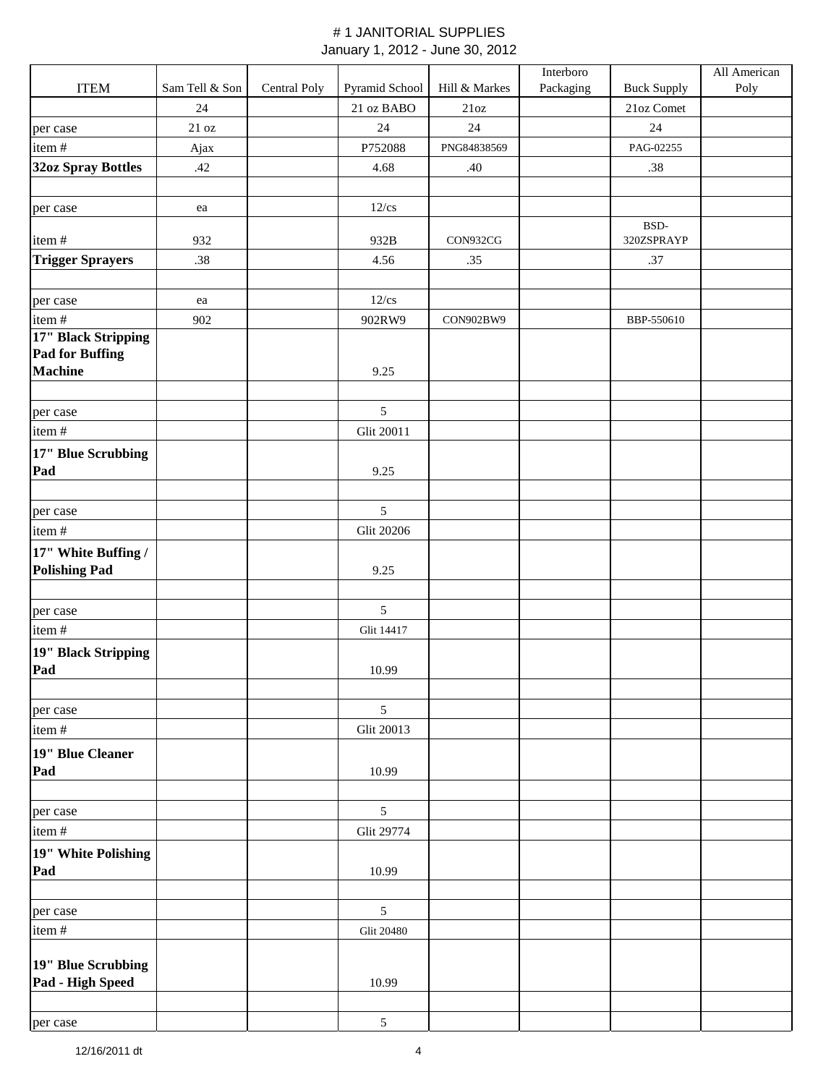|                                               |                   |              |                   |               | Interboro |                    | All American |
|-----------------------------------------------|-------------------|--------------|-------------------|---------------|-----------|--------------------|--------------|
| <b>ITEM</b>                                   | Sam Tell & Son    | Central Poly | Pyramid School    | Hill & Markes | Packaging | <b>Buck Supply</b> | Poly         |
|                                               | 24                |              | 21 oz BABO        | 21oz          |           | 21oz Comet         |              |
| per case                                      | $21\,\mathrm{oz}$ |              | 24                | 24            |           | 24                 |              |
| item#                                         | Ajax              |              | P752088           | PNG84838569   |           | PAG-02255          |              |
| <b>32oz Spray Bottles</b>                     | .42               |              | 4.68              | .40           |           | .38                |              |
|                                               |                   |              |                   |               |           |                    |              |
| per case                                      | ea                |              | $12$ /cs          |               |           |                    |              |
|                                               |                   |              |                   |               |           | BSD-               |              |
| item#                                         | 932               |              | 932B              | CON932CG      |           | 320ZSPRAYP         |              |
| <b>Trigger Sprayers</b>                       | .38               |              | 4.56              | .35           |           | .37                |              |
|                                               |                   |              |                   |               |           |                    |              |
| per case                                      | ea                |              | $12$ /cs          |               |           |                    |              |
| item#                                         | 902               |              | 902RW9            | CON902BW9     |           | BBP-550610         |              |
| 17" Black Stripping<br><b>Pad for Buffing</b> |                   |              |                   |               |           |                    |              |
| <b>Machine</b>                                |                   |              | 9.25              |               |           |                    |              |
|                                               |                   |              |                   |               |           |                    |              |
| per case                                      |                   |              | $\mathfrak{S}$    |               |           |                    |              |
| item#                                         |                   |              | Glit 20011        |               |           |                    |              |
| 17" Blue Scrubbing                            |                   |              |                   |               |           |                    |              |
| Pad                                           |                   |              | 9.25              |               |           |                    |              |
|                                               |                   |              |                   |               |           |                    |              |
| per case                                      |                   |              | 5                 |               |           |                    |              |
| item#                                         |                   |              | <b>Glit 20206</b> |               |           |                    |              |
| 17" White Buffing /                           |                   |              |                   |               |           |                    |              |
| <b>Polishing Pad</b>                          |                   |              | 9.25              |               |           |                    |              |
|                                               |                   |              |                   |               |           |                    |              |
| per case                                      |                   |              | 5                 |               |           |                    |              |
| item#                                         |                   |              | Glit 14417        |               |           |                    |              |
| 19" Black Stripping                           |                   |              |                   |               |           |                    |              |
| Pad                                           |                   |              | 10.99             |               |           |                    |              |
|                                               |                   |              |                   |               |           |                    |              |
| per case                                      |                   |              | $\mathfrak{S}$    |               |           |                    |              |
| item#                                         |                   |              | <b>Glit 20013</b> |               |           |                    |              |
| 19" Blue Cleaner                              |                   |              |                   |               |           |                    |              |
| Pad                                           |                   |              | 10.99             |               |           |                    |              |
|                                               |                   |              |                   |               |           |                    |              |
| per case                                      |                   |              | 5                 |               |           |                    |              |
| item#                                         |                   |              | Glit 29774        |               |           |                    |              |
| 19" White Polishing                           |                   |              |                   |               |           |                    |              |
| Pad                                           |                   |              | 10.99             |               |           |                    |              |
|                                               |                   |              |                   |               |           |                    |              |
| per case                                      |                   |              | $\mathfrak{S}$    |               |           |                    |              |
| item#                                         |                   |              | <b>Glit 20480</b> |               |           |                    |              |
|                                               |                   |              |                   |               |           |                    |              |
| 19" Blue Scrubbing                            |                   |              |                   |               |           |                    |              |
| Pad - High Speed                              |                   |              | 10.99             |               |           |                    |              |
|                                               |                   |              |                   |               |           |                    |              |
| per case                                      |                   |              | $5\,$             |               |           |                    |              |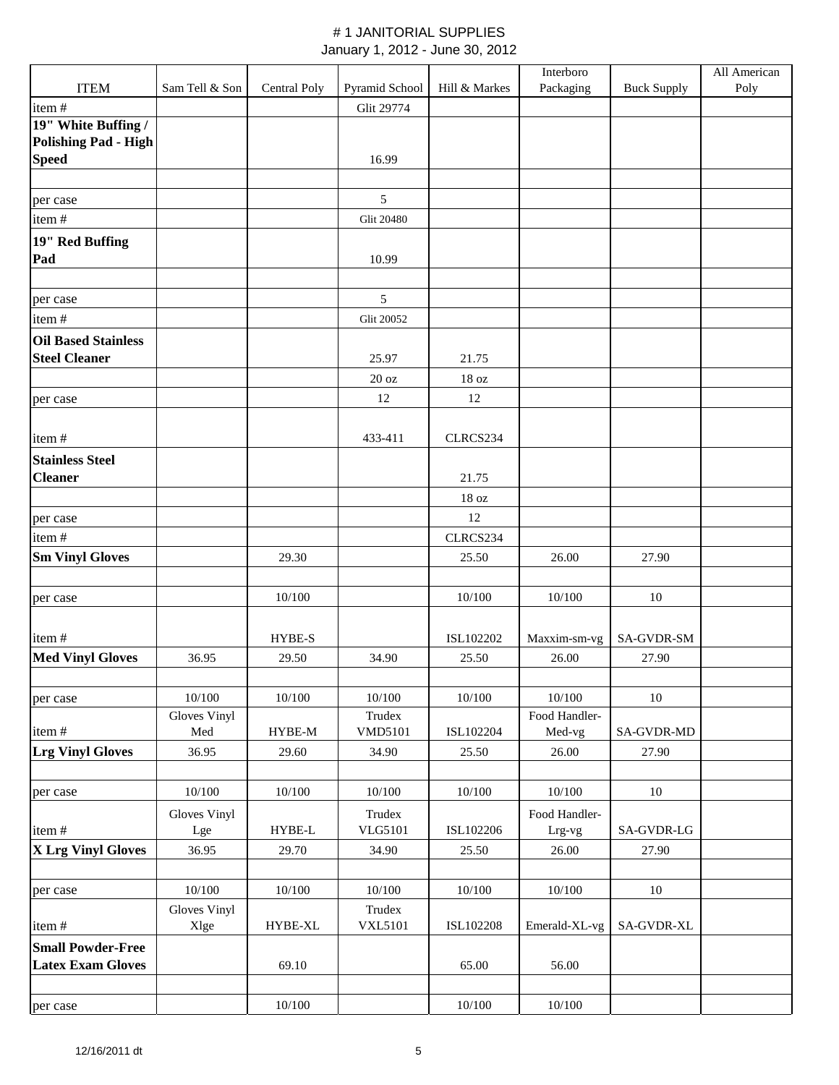|                                             |                      |                 |                          |                  | Interboro       |                    | All American |
|---------------------------------------------|----------------------|-----------------|--------------------------|------------------|-----------------|--------------------|--------------|
| <b>ITEM</b>                                 | Sam Tell & Son       | Central Poly    | Pyramid School           | Hill & Markes    | Packaging       | <b>Buck Supply</b> | Poly         |
| item#                                       |                      |                 | <b>Glit 29774</b>        |                  |                 |                    |              |
| 19" White Buffing /                         |                      |                 |                          |                  |                 |                    |              |
| <b>Polishing Pad - High</b><br><b>Speed</b> |                      |                 | 16.99                    |                  |                 |                    |              |
|                                             |                      |                 |                          |                  |                 |                    |              |
| per case                                    |                      |                 | 5                        |                  |                 |                    |              |
| item#                                       |                      |                 | <b>Glit 20480</b>        |                  |                 |                    |              |
| 19" Red Buffing                             |                      |                 |                          |                  |                 |                    |              |
| Pad                                         |                      |                 | 10.99                    |                  |                 |                    |              |
|                                             |                      |                 |                          |                  |                 |                    |              |
| per case                                    |                      |                 | 5                        |                  |                 |                    |              |
| item#                                       |                      |                 | <b>Glit 20052</b>        |                  |                 |                    |              |
| <b>Oil Based Stainless</b>                  |                      |                 |                          |                  |                 |                    |              |
| <b>Steel Cleaner</b>                        |                      |                 | 25.97                    | 21.75            |                 |                    |              |
|                                             |                      |                 | 20 oz                    | 18 <sub>oz</sub> |                 |                    |              |
| per case                                    |                      |                 | 12                       | 12               |                 |                    |              |
|                                             |                      |                 |                          |                  |                 |                    |              |
| item#                                       |                      |                 | 433-411                  | CLRCS234         |                 |                    |              |
| <b>Stainless Steel</b>                      |                      |                 |                          |                  |                 |                    |              |
| <b>Cleaner</b>                              |                      |                 |                          | 21.75            |                 |                    |              |
|                                             |                      |                 |                          | 18 <sub>oz</sub> |                 |                    |              |
| per case                                    |                      |                 |                          | 12               |                 |                    |              |
| item#                                       |                      |                 |                          | CLRCS234         |                 |                    |              |
| <b>Sm Vinyl Gloves</b>                      |                      | 29.30           |                          | 25.50            | 26.00           | 27.90              |              |
|                                             |                      |                 |                          |                  |                 |                    |              |
| per case                                    |                      | 10/100          |                          | 10/100           | 10/100          | 10                 |              |
|                                             |                      |                 |                          |                  |                 |                    |              |
| item#                                       |                      | HYBE-S          |                          | ISL102202        | Maxxim-sm-vg    | SA-GVDR-SM         |              |
| <b>Med Vinyl Gloves</b>                     | 36.95                | 29.50           | 34.90                    | 25.50            | 26.00           | 27.90              |              |
|                                             |                      |                 |                          |                  |                 |                    |              |
| per case                                    | 10/100               | 10/100          | 10/100                   | 10/100           | 10/100          | 10                 |              |
|                                             | Gloves Vinyl         |                 | Trudex                   |                  | Food Handler-   |                    |              |
| item#                                       | Med                  | HYBE-M          | <b>VMD5101</b>           | ISL102204        | Med-vg          | <b>SA-GVDR-MD</b>  |              |
| <b>Lrg Vinyl Gloves</b>                     | 36.95                | 29.60           | 34.90                    | 25.50            | 26.00           | 27.90              |              |
|                                             |                      |                 |                          |                  |                 |                    |              |
| per case                                    | 10/100               | 10/100          | 10/100                   | 10/100           | 10/100          | 10                 |              |
|                                             | Gloves Vinyl         |                 | Trudex<br>VLG5101        |                  | Food Handler-   | SA-GVDR-LG         |              |
| item#<br><b>X Lrg Vinyl Gloves</b>          | Lge<br>36.95         | HYBE-L<br>29.70 |                          | ISL102206        | Lrg-vg<br>26.00 | 27.90              |              |
|                                             |                      |                 | 34.90                    | 25.50            |                 |                    |              |
|                                             | 10/100               |                 | 10/100                   |                  |                 |                    |              |
| per case                                    |                      | 10/100          |                          | 10/100           | $10/100$        | 10                 |              |
| item#                                       | Gloves Vinyl<br>Xlge | HYBE-XL         | Trudex<br><b>VXL5101</b> | ISL102208        | Emerald-XL-vg   | SA-GVDR-XL         |              |
| <b>Small Powder-Free</b>                    |                      |                 |                          |                  |                 |                    |              |
| <b>Latex Exam Gloves</b>                    |                      | 69.10           |                          | 65.00            | 56.00           |                    |              |
|                                             |                      |                 |                          |                  |                 |                    |              |
| per case                                    |                      | 10/100          |                          | 10/100           | 10/100          |                    |              |
|                                             |                      |                 |                          |                  |                 |                    |              |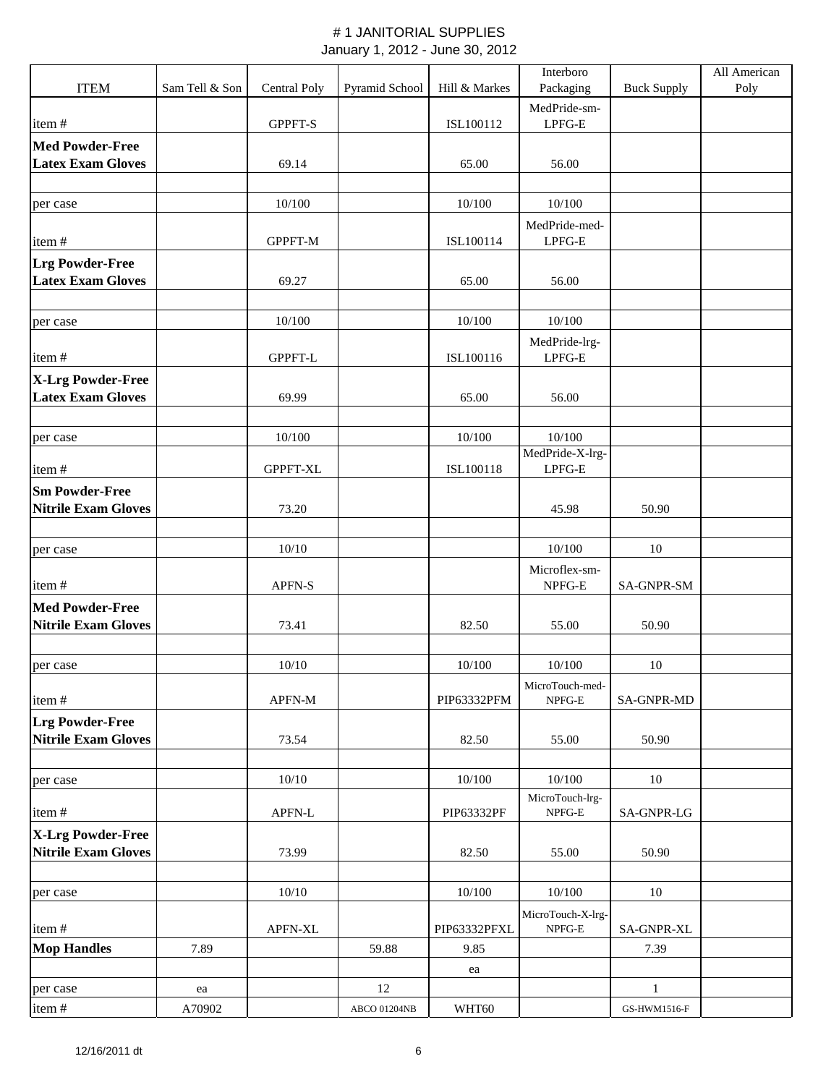|                                                     |                |              |                |               | Interboro                 |                    | All American |
|-----------------------------------------------------|----------------|--------------|----------------|---------------|---------------------------|--------------------|--------------|
| <b>ITEM</b>                                         | Sam Tell & Son | Central Poly | Pyramid School | Hill & Markes | Packaging                 | <b>Buck Supply</b> | Poly         |
| item#                                               |                | GPPFT-S      |                | ISL100112     | MedPride-sm-<br>$LPFG-E$  |                    |              |
| <b>Med Powder-Free</b>                              |                |              |                |               |                           |                    |              |
| <b>Latex Exam Gloves</b>                            |                | 69.14        |                | 65.00         | 56.00                     |                    |              |
|                                                     |                |              |                |               |                           |                    |              |
| per case                                            |                | 10/100       |                | 10/100        | 10/100                    |                    |              |
| item#                                               |                | GPPFT-M      |                | ISL100114     | MedPride-med-<br>LPFG-E   |                    |              |
| <b>Lrg Powder-Free</b>                              |                |              |                |               |                           |                    |              |
| <b>Latex Exam Gloves</b>                            |                | 69.27        |                | 65.00         | 56.00                     |                    |              |
|                                                     |                |              |                |               |                           |                    |              |
| per case                                            |                | 10/100       |                | 10/100        | 10/100                    |                    |              |
| item#                                               |                | GPPFT-L      |                | ISL100116     | MedPride-lrg-<br>LPFG-E   |                    |              |
| X-Lrg Powder-Free                                   |                |              |                |               |                           |                    |              |
| <b>Latex Exam Gloves</b>                            |                | 69.99        |                | 65.00         | 56.00                     |                    |              |
|                                                     |                |              |                |               |                           |                    |              |
| per case                                            |                | 10/100       |                | 10/100        | 10/100                    |                    |              |
| item#                                               |                | GPPFT-XL     |                | ISL100118     | MedPride-X-lrg-<br>LPFG-E |                    |              |
|                                                     |                |              |                |               |                           |                    |              |
| <b>Sm Powder-Free</b><br><b>Nitrile Exam Gloves</b> |                | 73.20        |                |               | 45.98                     | 50.90              |              |
|                                                     |                |              |                |               |                           |                    |              |
| per case                                            |                | 10/10        |                |               | 10/100                    | 10                 |              |
|                                                     |                |              |                |               | Microflex-sm-             |                    |              |
| item#                                               |                | APFN-S       |                |               | NPFG-E                    | <b>SA-GNPR-SM</b>  |              |
| <b>Med Powder-Free</b>                              |                |              |                |               |                           |                    |              |
| <b>Nitrile Exam Gloves</b>                          |                | 73.41        |                | 82.50         | 55.00                     | 50.90              |              |
|                                                     |                |              |                |               |                           |                    |              |
| per case                                            |                | 10/10        |                | 10/100        | 10/100                    | 10                 |              |
|                                                     |                |              |                |               | MicroTouch-med-           |                    |              |
| item#                                               |                | APFN-M       |                | PIP63332PFM   | NPFG-E                    | <b>SA-GNPR-MD</b>  |              |
| <b>Lrg Powder-Free</b>                              |                |              |                |               |                           |                    |              |
| <b>Nitrile Exam Gloves</b>                          |                | 73.54        |                | 82.50         | 55.00                     | 50.90              |              |
|                                                     |                | 10/10        |                | 10/100        | 10/100                    | $10\,$             |              |
| per case                                            |                |              |                |               | MicroTouch-lrg-           |                    |              |
| item#                                               |                | APFN-L       |                | PIP63332PF    | NPFG-E                    | SA-GNPR-LG         |              |
| X-Lrg Powder-Free                                   |                |              |                |               |                           |                    |              |
| <b>Nitrile Exam Gloves</b>                          |                | 73.99        |                | 82.50         | 55.00                     | 50.90              |              |
|                                                     |                |              |                |               |                           |                    |              |
| per case                                            |                | 10/10        |                | 10/100        | 10/100                    | 10                 |              |
|                                                     |                |              |                |               | MicroTouch-X-lrg-         |                    |              |
| item#                                               |                | APFN-XL      |                | PIP63332PFXL  | NPFG-E                    | SA-GNPR-XL         |              |
| <b>Mop Handles</b>                                  | 7.89           |              | 59.88          | 9.85          |                           | 7.39               |              |
|                                                     |                |              |                | ea            |                           |                    |              |
| per case                                            | ea             |              | 12             |               |                           | $\mathbf{1}$       |              |
| item#                                               | A70902         |              | ABCO 01204NB   | WHT60         |                           | GS-HWM1516-F       |              |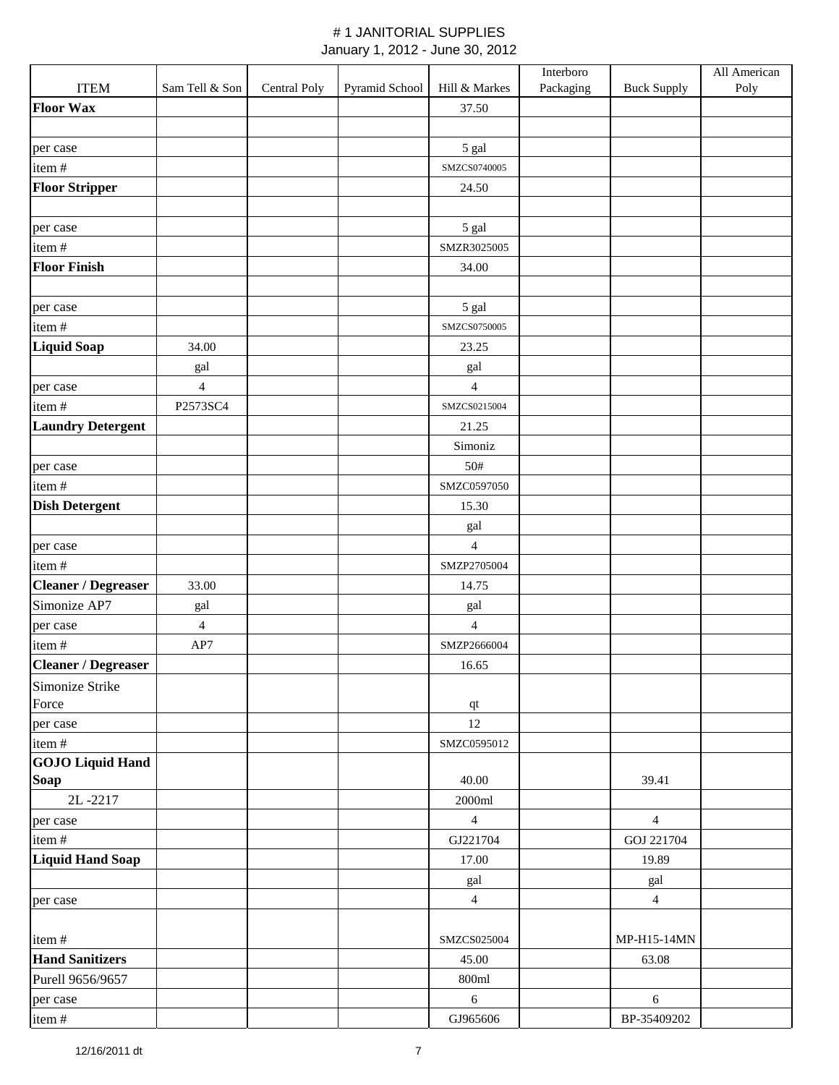|                            |                |              |                |                | Interboro |                    | All American |
|----------------------------|----------------|--------------|----------------|----------------|-----------|--------------------|--------------|
| <b>ITEM</b>                | Sam Tell & Son | Central Poly | Pyramid School | Hill & Markes  | Packaging | <b>Buck Supply</b> | Poly         |
| <b>Floor Wax</b>           |                |              |                | 37.50          |           |                    |              |
|                            |                |              |                |                |           |                    |              |
| per case                   |                |              |                | 5 gal          |           |                    |              |
| item#                      |                |              |                | SMZCS0740005   |           |                    |              |
| <b>Floor Stripper</b>      |                |              |                | 24.50          |           |                    |              |
|                            |                |              |                |                |           |                    |              |
| per case                   |                |              |                | 5 gal          |           |                    |              |
| item#                      |                |              |                | SMZR3025005    |           |                    |              |
| <b>Floor Finish</b>        |                |              |                | 34.00          |           |                    |              |
|                            |                |              |                |                |           |                    |              |
| per case                   |                |              |                | 5 gal          |           |                    |              |
| item#                      |                |              |                | SMZCS0750005   |           |                    |              |
| <b>Liquid Soap</b>         | 34.00          |              |                | 23.25          |           |                    |              |
|                            | gal            |              |                | gal            |           |                    |              |
| per case                   | $\overline{4}$ |              |                | 4              |           |                    |              |
| item#                      | P2573SC4       |              |                | SMZCS0215004   |           |                    |              |
| <b>Laundry Detergent</b>   |                |              |                | 21.25          |           |                    |              |
|                            |                |              |                | Simoniz        |           |                    |              |
| per case                   |                |              |                | 50#            |           |                    |              |
| item#                      |                |              |                | SMZC0597050    |           |                    |              |
| <b>Dish Detergent</b>      |                |              |                | 15.30          |           |                    |              |
|                            |                |              |                | gal            |           |                    |              |
| per case                   |                |              |                | $\overline{4}$ |           |                    |              |
| item#                      |                |              |                | SMZP2705004    |           |                    |              |
| <b>Cleaner / Degreaser</b> | 33.00          |              |                | 14.75          |           |                    |              |
| Simonize AP7               | gal            |              |                | gal            |           |                    |              |
| per case                   | $\overline{4}$ |              |                | $\overline{4}$ |           |                    |              |
| item#                      | AP7            |              |                | SMZP2666004    |           |                    |              |
| <b>Cleaner / Degreaser</b> |                |              |                | 16.65          |           |                    |              |
| Simonize Strike            |                |              |                |                |           |                    |              |
| Force                      |                |              |                | $\bf qt$       |           |                    |              |
| per case                   |                |              |                | 12             |           |                    |              |
| item#                      |                |              |                | SMZC0595012    |           |                    |              |
| <b>GOJO Liquid Hand</b>    |                |              |                |                |           |                    |              |
| <b>Soap</b>                |                |              |                | 40.00          |           | 39.41              |              |
| 2L-2217                    |                |              |                | 2000ml         |           |                    |              |
| per case                   |                |              |                | $\overline{4}$ |           | $\overline{4}$     |              |
| item#                      |                |              |                | GJ221704       |           | GOJ 221704         |              |
| <b>Liquid Hand Soap</b>    |                |              |                | 17.00          |           | 19.89              |              |
|                            |                |              |                | gal            |           | gal                |              |
| per case                   |                |              |                | $\overline{4}$ |           | $\overline{4}$     |              |
|                            |                |              |                |                |           |                    |              |
| item#                      |                |              |                | SMZCS025004    |           | MP-H15-14MN        |              |
| <b>Hand Sanitizers</b>     |                |              |                | 45.00          |           | 63.08              |              |
| Purell 9656/9657           |                |              |                | 800ml          |           |                    |              |
| per case                   |                |              |                | $\sqrt{6}$     |           | $\sqrt{6}$         |              |
| item#                      |                |              |                | GJ965606       |           | BP-35409202        |              |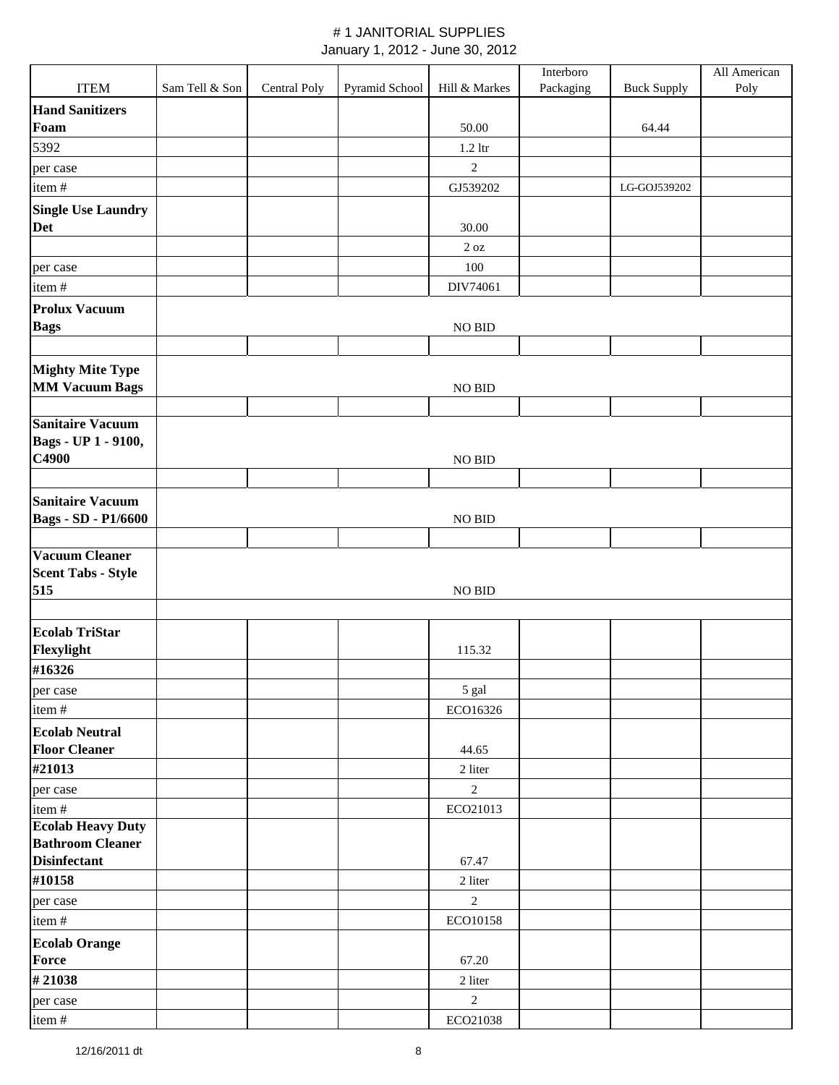|                            |                |              |                |                | Interboro |                    | All American |
|----------------------------|----------------|--------------|----------------|----------------|-----------|--------------------|--------------|
| <b>ITEM</b>                | Sam Tell & Son | Central Poly | Pyramid School | Hill & Markes  | Packaging | <b>Buck Supply</b> | Poly         |
| <b>Hand Sanitizers</b>     |                |              |                |                |           |                    |              |
| Foam                       |                |              |                | 50.00          |           | 64.44              |              |
| 5392                       |                |              |                | $1.2$ ltr      |           |                    |              |
| per case                   |                |              |                | $\overline{2}$ |           |                    |              |
| item#                      |                |              |                | GJ539202       |           | LG-GOJ539202       |              |
| <b>Single Use Laundry</b>  |                |              |                |                |           |                    |              |
| <b>Det</b>                 |                |              |                | 30.00          |           |                    |              |
|                            |                |              |                | $2$ oz         |           |                    |              |
| per case                   |                |              |                | 100            |           |                    |              |
| item#                      |                |              |                | DIV74061       |           |                    |              |
| <b>Prolux Vacuum</b>       |                |              |                |                |           |                    |              |
| <b>Bags</b>                |                |              |                | NO BID         |           |                    |              |
|                            |                |              |                |                |           |                    |              |
| <b>Mighty Mite Type</b>    |                |              |                |                |           |                    |              |
| <b>MM Vacuum Bags</b>      |                |              |                | NO BID         |           |                    |              |
|                            |                |              |                |                |           |                    |              |
| <b>Sanitaire Vacuum</b>    |                |              |                |                |           |                    |              |
| Bags - UP 1 - 9100,        |                |              |                |                |           |                    |              |
| C4900                      |                |              |                | NO BID         |           |                    |              |
|                            |                |              |                |                |           |                    |              |
| <b>Sanitaire Vacuum</b>    |                |              |                |                |           |                    |              |
| <b>Bags - SD - P1/6600</b> |                |              |                | NO BID         |           |                    |              |
| Vacuum Cleaner             |                |              |                |                |           |                    |              |
| <b>Scent Tabs - Style</b>  |                |              |                |                |           |                    |              |
| 515                        |                |              |                | NO BID         |           |                    |              |
|                            |                |              |                |                |           |                    |              |
| <b>Ecolab TriStar</b>      |                |              |                |                |           |                    |              |
| Flexylight                 |                |              |                | 115.32         |           |                    |              |
| #16326                     |                |              |                |                |           |                    |              |
| per case                   |                |              |                | 5 gal          |           |                    |              |
| item#                      |                |              |                | ECO16326       |           |                    |              |
| <b>Ecolab Neutral</b>      |                |              |                |                |           |                    |              |
| <b>Floor Cleaner</b>       |                |              |                | 44.65          |           |                    |              |
| #21013                     |                |              |                | 2 liter        |           |                    |              |
| per case                   |                |              |                | 2              |           |                    |              |
| item#                      |                |              |                | ECO21013       |           |                    |              |
| <b>Ecolab Heavy Duty</b>   |                |              |                |                |           |                    |              |
| <b>Bathroom Cleaner</b>    |                |              |                |                |           |                    |              |
| <b>Disinfectant</b>        |                |              |                | 67.47          |           |                    |              |
| #10158                     |                |              |                | 2 liter        |           |                    |              |
| per case                   |                |              |                | $\sqrt{2}$     |           |                    |              |
| item#                      |                |              |                | ECO10158       |           |                    |              |
| <b>Ecolab Orange</b>       |                |              |                |                |           |                    |              |
| <b>Force</b>               |                |              |                | 67.20          |           |                    |              |
| #21038                     |                |              |                | 2 liter        |           |                    |              |
| per case                   |                |              |                | $\sqrt{2}$     |           |                    |              |
| item#                      |                |              |                | ECO21038       |           |                    |              |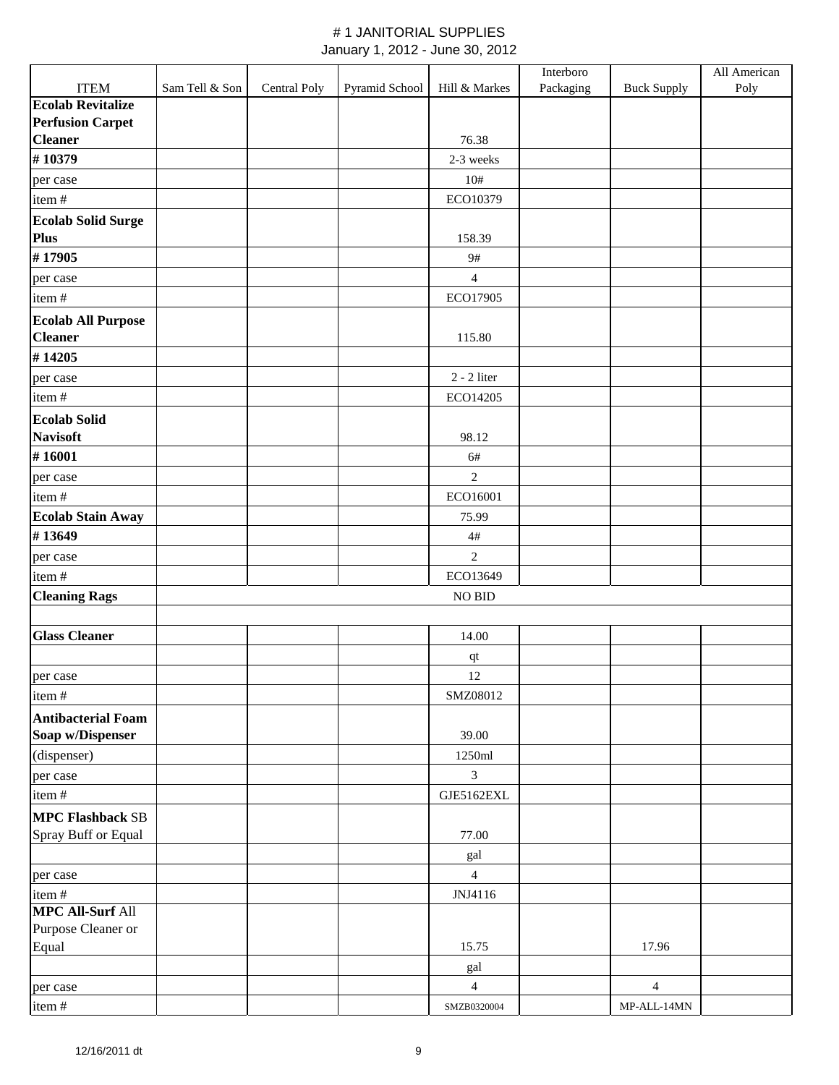|                           |                |              |                |                | Interboro |                    | All American |
|---------------------------|----------------|--------------|----------------|----------------|-----------|--------------------|--------------|
| <b>ITEM</b>               | Sam Tell & Son | Central Poly | Pyramid School | Hill & Markes  | Packaging | <b>Buck Supply</b> | Poly         |
| <b>Ecolab Revitalize</b>  |                |              |                |                |           |                    |              |
| <b>Perfusion Carpet</b>   |                |              |                |                |           |                    |              |
| <b>Cleaner</b>            |                |              |                | 76.38          |           |                    |              |
| #10379                    |                |              |                | 2-3 weeks      |           |                    |              |
| per case                  |                |              |                | 10#            |           |                    |              |
| item#                     |                |              |                | ECO10379       |           |                    |              |
| <b>Ecolab Solid Surge</b> |                |              |                |                |           |                    |              |
| Plus                      |                |              |                | 158.39         |           |                    |              |
| #17905                    |                |              |                | $9\#$          |           |                    |              |
| per case                  |                |              |                | $\overline{4}$ |           |                    |              |
| item#                     |                |              |                | ECO17905       |           |                    |              |
| <b>Ecolab All Purpose</b> |                |              |                |                |           |                    |              |
| <b>Cleaner</b>            |                |              |                | 115.80         |           |                    |              |
| #14205                    |                |              |                |                |           |                    |              |
| per case                  |                |              |                | $2 - 2$ liter  |           |                    |              |
| item#                     |                |              |                | ECO14205       |           |                    |              |
| <b>Ecolab Solid</b>       |                |              |                |                |           |                    |              |
| <b>Navisoft</b>           |                |              |                | 98.12          |           |                    |              |
| #16001                    |                |              |                | 6#             |           |                    |              |
| per case                  |                |              |                | $\sqrt{2}$     |           |                    |              |
| item#                     |                |              |                | ECO16001       |           |                    |              |
| <b>Ecolab Stain Away</b>  |                |              |                | 75.99          |           |                    |              |
| #13649                    |                |              |                |                |           |                    |              |
|                           |                |              |                | $4\#$          |           |                    |              |
| per case                  |                |              |                | $\overline{2}$ |           |                    |              |
| item#                     |                |              |                | ECO13649       |           |                    |              |
| <b>Cleaning Rags</b>      |                |              |                | NO BID         |           |                    |              |
|                           |                |              |                |                |           |                    |              |
| <b>Glass Cleaner</b>      |                |              |                | 14.00          |           |                    |              |
|                           |                |              |                | $\bf qt$       |           |                    |              |
| per case                  |                |              |                | 12             |           |                    |              |
| item#                     |                |              |                | SMZ08012       |           |                    |              |
| <b>Antibacterial Foam</b> |                |              |                |                |           |                    |              |
| Soap w/Dispenser          |                |              |                | 39.00          |           |                    |              |
| (dispenser)               |                |              |                | 1250ml         |           |                    |              |
| per case                  |                |              |                | $\mathfrak{Z}$ |           |                    |              |
| item#                     |                |              |                | GJE5162EXL     |           |                    |              |
| <b>MPC Flashback SB</b>   |                |              |                |                |           |                    |              |
| Spray Buff or Equal       |                |              |                | 77.00          |           |                    |              |
|                           |                |              |                | gal            |           |                    |              |
| per case                  |                |              |                | $\overline{4}$ |           |                    |              |
| item#                     |                |              |                | JNJ4116        |           |                    |              |
| <b>MPC All-Surf All</b>   |                |              |                |                |           |                    |              |
| Purpose Cleaner or        |                |              |                |                |           |                    |              |
| Equal                     |                |              |                | 15.75          |           | 17.96              |              |
|                           |                |              |                | gal            |           |                    |              |
| per case                  |                |              |                | $\overline{4}$ |           | $\overline{4}$     |              |
| item#                     |                |              |                | SMZB0320004    |           | MP-ALL-14MN        |              |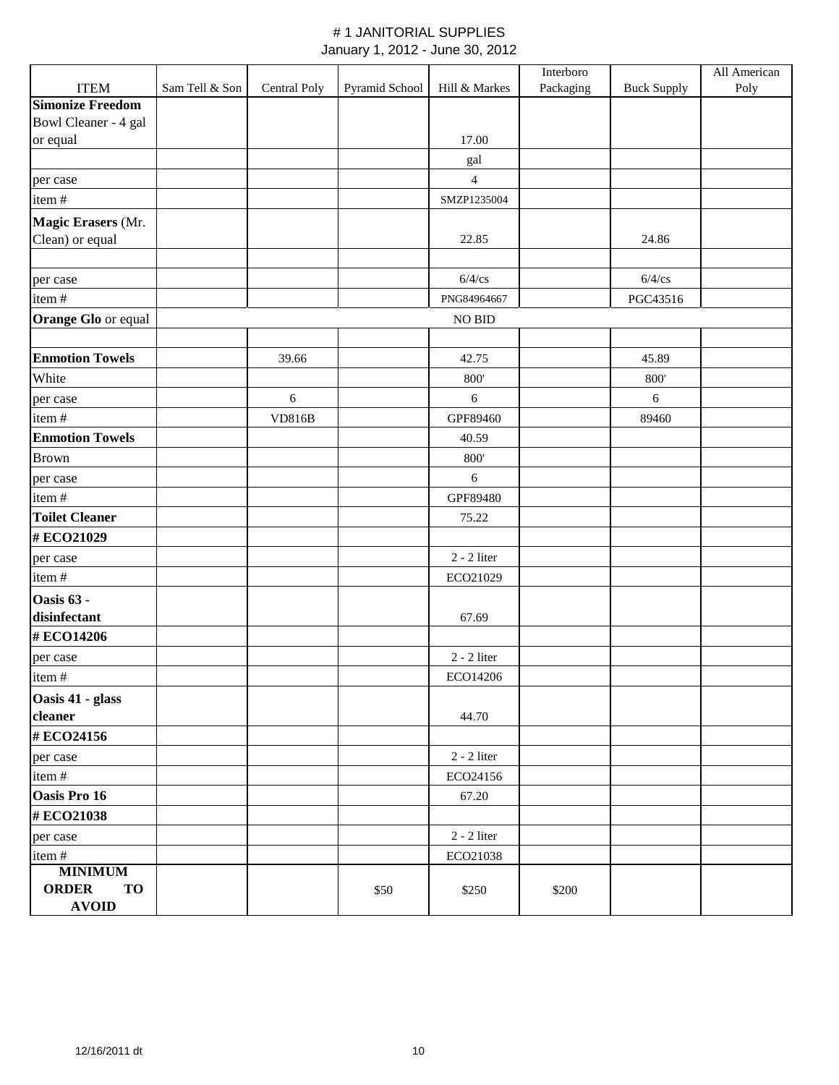|                           |                |               |                |                  | Interboro |                    | All American |
|---------------------------|----------------|---------------|----------------|------------------|-----------|--------------------|--------------|
| <b>ITEM</b>               | Sam Tell & Son | Central Poly  | Pyramid School | Hill & Markes    | Packaging | <b>Buck Supply</b> | Poly         |
| <b>Simonize Freedom</b>   |                |               |                |                  |           |                    |              |
| Bowl Cleaner - 4 gal      |                |               |                |                  |           |                    |              |
| or equal                  |                |               |                | 17.00            |           |                    |              |
|                           |                |               |                | gal              |           |                    |              |
| per case                  |                |               |                | $\overline{4}$   |           |                    |              |
| item#                     |                |               |                | SMZP1235004      |           |                    |              |
| Magic Erasers (Mr.        |                |               |                |                  |           |                    |              |
| Clean) or equal           |                |               |                | 22.85            |           | 24.86              |              |
|                           |                |               |                |                  |           |                    |              |
| per case                  |                |               |                | $6/4$ /cs        |           | $6/4$ /cs          |              |
| item#                     |                |               |                | PNG84964667      |           | PGC43516           |              |
| Orange Glo or equal       |                |               |                | NO BID           |           |                    |              |
|                           |                |               |                |                  |           |                    |              |
| <b>Enmotion Towels</b>    |                | 39.66         |                | 42.75            |           | 45.89              |              |
| White                     |                |               |                | 800'             |           | $800^\circ$        |              |
| per case                  |                | $6\,$         |                | 6                |           | $6\,$              |              |
| item#                     |                | <b>VD816B</b> |                | GPF89460         |           | 89460              |              |
| <b>Enmotion Towels</b>    |                |               |                | 40.59            |           |                    |              |
| <b>Brown</b>              |                |               |                | 800'             |           |                    |              |
| per case                  |                |               |                | $\boldsymbol{6}$ |           |                    |              |
| item#                     |                |               |                | GPF89480         |           |                    |              |
| <b>Toilet Cleaner</b>     |                |               |                | 75.22            |           |                    |              |
| #ECO21029                 |                |               |                |                  |           |                    |              |
| per case                  |                |               |                | $2 - 2$ liter    |           |                    |              |
| item#                     |                |               |                | ECO21029         |           |                    |              |
| Oasis 63 -                |                |               |                |                  |           |                    |              |
| disinfectant              |                |               |                | 67.69            |           |                    |              |
| #ECO14206                 |                |               |                |                  |           |                    |              |
| per case                  |                |               |                | $2 - 2$ liter    |           |                    |              |
| item#                     |                |               |                | ECO14206         |           |                    |              |
| Oasis 41 - glass          |                |               |                |                  |           |                    |              |
| cleaner                   |                |               |                | 44.70            |           |                    |              |
| #ECO24156                 |                |               |                |                  |           |                    |              |
| per case                  |                |               |                | $2 - 2$ liter    |           |                    |              |
| item#                     |                |               |                | ECO24156         |           |                    |              |
| Oasis Pro 16              |                |               |                | 67.20            |           |                    |              |
| #ECO21038                 |                |               |                |                  |           |                    |              |
| per case                  |                |               |                | $2 - 2$ liter    |           |                    |              |
| item#                     |                |               |                | ECO21038         |           |                    |              |
| <b>MINIMUM</b>            |                |               |                |                  |           |                    |              |
| <b>ORDER</b><br><b>TO</b> |                |               | \$50           | \$250            | \$200     |                    |              |
| <b>AVOID</b>              |                |               |                |                  |           |                    |              |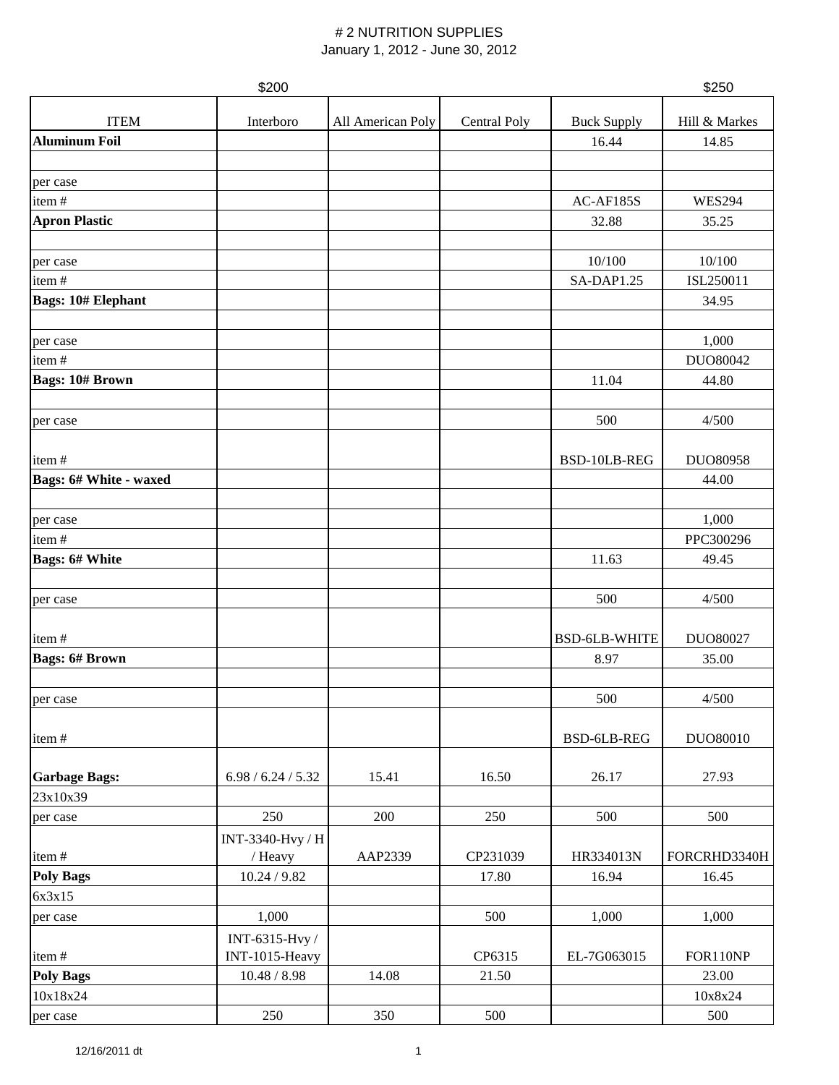|                           | \$200              |                   |              |                      | \$250         |
|---------------------------|--------------------|-------------------|--------------|----------------------|---------------|
| <b>ITEM</b>               | Interboro          | All American Poly | Central Poly | <b>Buck Supply</b>   | Hill & Markes |
| <b>Aluminum Foil</b>      |                    |                   |              | 16.44                | 14.85         |
|                           |                    |                   |              |                      |               |
| per case                  |                    |                   |              |                      |               |
| item#                     |                    |                   |              | AC-AF185S            | <b>WES294</b> |
| <b>Apron Plastic</b>      |                    |                   |              | 32.88                | 35.25         |
|                           |                    |                   |              |                      |               |
| per case                  |                    |                   |              | 10/100               | 10/100        |
| item#                     |                    |                   |              | SA-DAP1.25           | ISL250011     |
| <b>Bags: 10# Elephant</b> |                    |                   |              |                      | 34.95         |
|                           |                    |                   |              |                      |               |
| per case                  |                    |                   |              |                      | 1,000         |
| item#                     |                    |                   |              |                      | DUO80042      |
| <b>Bags: 10# Brown</b>    |                    |                   |              | 11.04                | 44.80         |
|                           |                    |                   |              |                      |               |
| per case                  |                    |                   |              | 500                  | 4/500         |
|                           |                    |                   |              |                      |               |
| item#                     |                    |                   |              | BSD-10LB-REG         | DUO80958      |
| Bags: 6# White - waxed    |                    |                   |              |                      | 44.00         |
|                           |                    |                   |              |                      |               |
| per case                  |                    |                   |              |                      | 1,000         |
| item#                     |                    |                   |              |                      | PPC300296     |
| <b>Bags: 6# White</b>     |                    |                   |              | 11.63                | 49.45         |
|                           |                    |                   |              |                      |               |
| per case                  |                    |                   |              | 500                  | 4/500         |
|                           |                    |                   |              |                      |               |
| item#                     |                    |                   |              | <b>BSD-6LB-WHITE</b> | DUO80027      |
| <b>Bags: 6# Brown</b>     |                    |                   |              | 8.97                 | 35.00         |
|                           |                    |                   |              |                      |               |
| per case                  |                    |                   |              | 500                  | 4/500         |
|                           |                    |                   |              |                      |               |
| item#                     |                    |                   |              | BSD-6LB-REG          | DUO80010      |
|                           |                    |                   |              |                      |               |
| <b>Garbage Bags:</b>      | 6.98 / 6.24 / 5.32 | 15.41             | 16.50        | 26.17                | 27.93         |
| 23x10x39                  |                    |                   |              |                      |               |
| per case                  | 250                | 200               | 250          | 500                  | 500           |
|                           | INT-3340-Hvy / H   |                   |              |                      |               |
| item#                     | / Heavy            | AAP2339           | CP231039     | HR334013N            | FORCRHD3340H  |
| <b>Poly Bags</b>          | 10.24 / 9.82       |                   | 17.80        | 16.94                | 16.45         |
| 6x3x15                    |                    |                   |              |                      |               |
| per case                  | 1,000              |                   | 500          | 1,000                | 1,000         |
|                           | INT-6315-Hvy /     |                   |              |                      |               |
| item#                     | INT-1015-Heavy     |                   | CP6315       | EL-7G063015          | FOR110NP      |
| <b>Poly Bags</b>          | 10.48 / 8.98       | 14.08             | 21.50        |                      | 23.00         |
| 10x18x24                  |                    |                   |              |                      | 10x8x24       |
| per case                  | 250                | 350               | 500          |                      | 500           |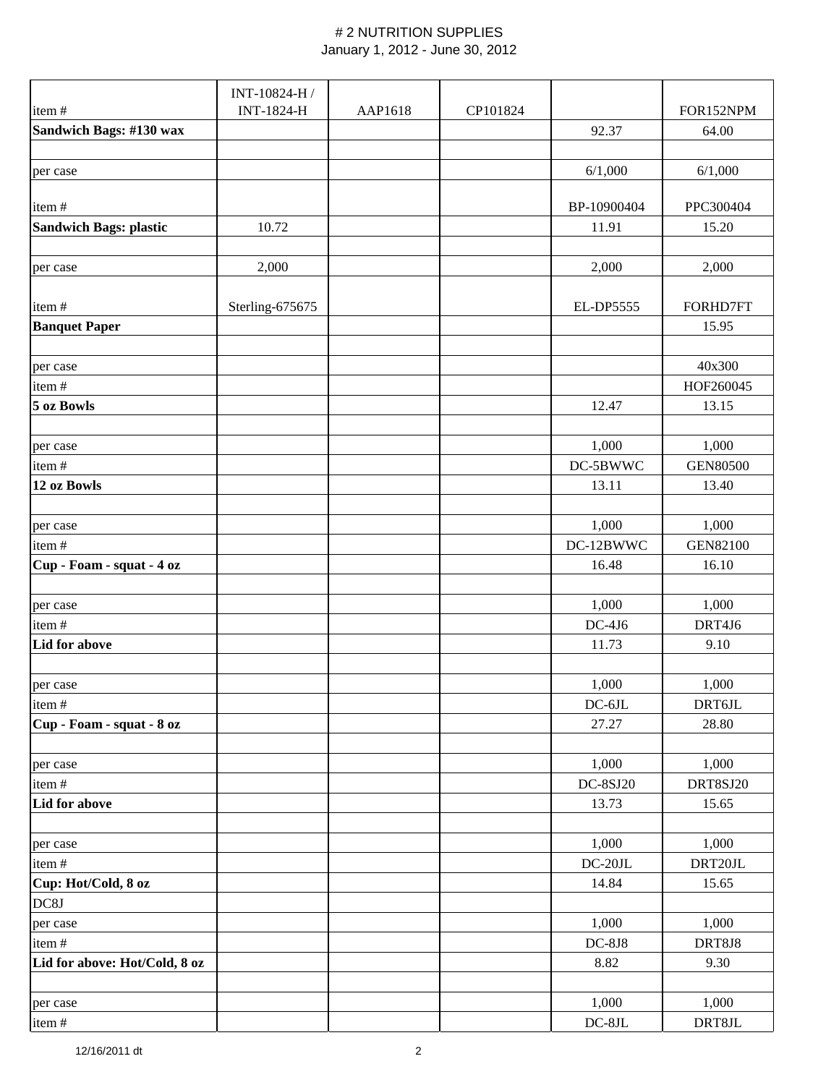|                               | INT-10824-H /   |         |          |                 |                 |
|-------------------------------|-----------------|---------|----------|-----------------|-----------------|
| item#                         | INT-1824-H      | AAP1618 | CP101824 |                 | FOR152NPM       |
| Sandwich Bags: #130 wax       |                 |         |          | 92.37           | 64.00           |
|                               |                 |         |          |                 |                 |
| per case                      |                 |         |          | 6/1,000         | 6/1,000         |
|                               |                 |         |          |                 |                 |
| item#                         |                 |         |          | BP-10900404     | PPC300404       |
| <b>Sandwich Bags: plastic</b> | 10.72           |         |          | 11.91           | 15.20           |
|                               |                 |         |          |                 |                 |
| per case                      | 2,000           |         |          | 2,000           | 2,000           |
|                               |                 |         |          |                 |                 |
| item#                         | Sterling-675675 |         |          | EL-DP5555       | FORHD7FT        |
| <b>Banquet Paper</b>          |                 |         |          |                 | 15.95           |
|                               |                 |         |          |                 |                 |
| per case                      |                 |         |          |                 | 40x300          |
| item#                         |                 |         |          |                 | HOF260045       |
| 5 oz Bowls                    |                 |         |          | 12.47           | 13.15           |
|                               |                 |         |          |                 |                 |
| per case                      |                 |         |          | 1,000           | 1,000           |
| item#                         |                 |         |          | DC-5BWWC        | <b>GEN80500</b> |
| 12 oz Bowls                   |                 |         |          | 13.11           | 13.40           |
|                               |                 |         |          |                 |                 |
| per case                      |                 |         |          | 1,000           | 1,000           |
| item#                         |                 |         |          | DC-12BWWC       | <b>GEN82100</b> |
| Cup - Foam - squat - 4 oz     |                 |         |          | 16.48           | 16.10           |
|                               |                 |         |          |                 |                 |
| per case                      |                 |         |          | 1,000           | 1,000           |
| item#                         |                 |         |          | $DC-4J6$        | DRT4J6          |
| Lid for above                 |                 |         |          | 11.73           | 9.10            |
|                               |                 |         |          |                 |                 |
| per case                      |                 |         |          | 1,000           | 1,000           |
| item#                         |                 |         |          | $DC-6JL$        | DRT6JL          |
| Cup - Foam - squat - 8 oz     |                 |         |          | 27.27           | 28.80           |
|                               |                 |         |          |                 |                 |
| per case                      |                 |         |          | 1,000           | 1,000           |
| item#                         |                 |         |          | <b>DC-8SJ20</b> | DRT8SJ20        |
| Lid for above                 |                 |         |          | 13.73           | 15.65           |
|                               |                 |         |          |                 |                 |
| per case                      |                 |         |          | 1,000           | 1,000           |
| item#                         |                 |         |          | $DC-20JL$       | DRT20JL         |
| Cup: Hot/Cold, 8 oz           |                 |         |          | 14.84           | 15.65           |
| DC8J                          |                 |         |          |                 |                 |
| per case                      |                 |         |          | 1,000           | 1,000           |
| item#                         |                 |         |          | $DC-8J8$        | DRT8J8          |
| Lid for above: Hot/Cold, 8 oz |                 |         |          | 8.82            | 9.30            |
|                               |                 |         |          |                 |                 |
| per case                      |                 |         |          | 1,000           | 1,000           |
| item#                         |                 |         |          | $DC-8JL$        | DRT8JL          |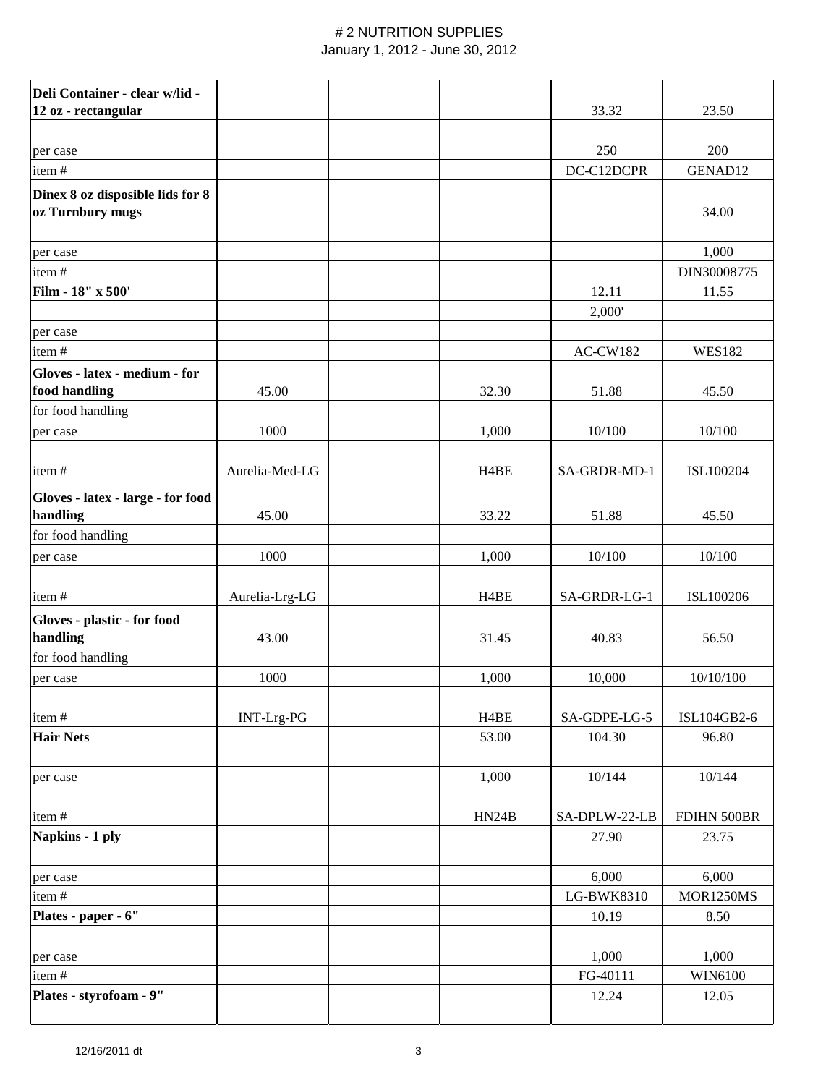| Deli Container - clear w/lid -                       |                |                   |                 |               |
|------------------------------------------------------|----------------|-------------------|-----------------|---------------|
| 12 oz - rectangular                                  |                |                   | 33.32           | 23.50         |
|                                                      |                |                   |                 |               |
| per case                                             |                |                   | 250             | 200           |
| item#                                                |                |                   | DC-C12DCPR      | GENAD12       |
| Dinex 8 oz disposible lids for 8<br>oz Turnbury mugs |                |                   |                 | 34.00         |
| per case                                             |                |                   |                 | 1,000         |
| item#                                                |                |                   |                 | DIN30008775   |
| Film - 18" x 500'                                    |                |                   | 12.11           | 11.55         |
|                                                      |                |                   | 2,000'          |               |
| per case                                             |                |                   |                 |               |
| item#                                                |                |                   | <b>AC-CW182</b> | <b>WES182</b> |
| Gloves - latex - medium - for<br>food handling       | 45.00          | 32.30             | 51.88           | 45.50         |
| for food handling                                    |                |                   |                 |               |
| per case                                             | 1000           | 1,000             | 10/100          | 10/100        |
|                                                      |                |                   |                 |               |
| item#                                                | Aurelia-Med-LG | H <sub>4</sub> BE | SA-GRDR-MD-1    | ISL100204     |
| Gloves - latex - large - for food<br>handling        | 45.00          | 33.22             | 51.88           | 45.50         |
| for food handling                                    |                |                   |                 |               |
| per case                                             | 1000           | 1,000             | 10/100          | 10/100        |
|                                                      |                |                   |                 |               |
| item#                                                | Aurelia-Lrg-LG | H <sub>4</sub> BE | SA-GRDR-LG-1    | ISL100206     |
| Gloves - plastic - for food                          |                |                   |                 |               |
| handling                                             | 43.00          | 31.45             | 40.83           | 56.50         |
| for food handling                                    |                |                   |                 |               |
| per case                                             | 1000           | 1,000             | 10,000          | 10/10/100     |
|                                                      |                |                   |                 |               |
| item#                                                | INT-Lrg-PG     | H <sub>4</sub> BE | SA-GDPE-LG-5    | ISL104GB2-6   |
| <b>Hair Nets</b>                                     |                | 53.00             | 104.30          | 96.80         |
|                                                      |                |                   |                 |               |
| per case                                             |                | 1,000             | 10/144          | 10/144        |
| item#                                                |                | HN24B             | SA-DPLW-22-LB   | FDIHN 500BR   |
| Napkins - 1 ply                                      |                |                   | 27.90           | 23.75         |
|                                                      |                |                   |                 |               |
| per case                                             |                |                   | 6,000           | 6,000         |
| item#                                                |                |                   | LG-BWK8310      | MOR1250MS     |
| Plates - paper - 6"                                  |                |                   | 10.19           | 8.50          |
|                                                      |                |                   |                 |               |
| per case                                             |                |                   | 1,000           | 1,000         |
| item#                                                |                |                   | FG-40111        | WIN6100       |
| Plates - styrofoam - 9"                              |                |                   | 12.24           | 12.05         |
|                                                      |                |                   |                 |               |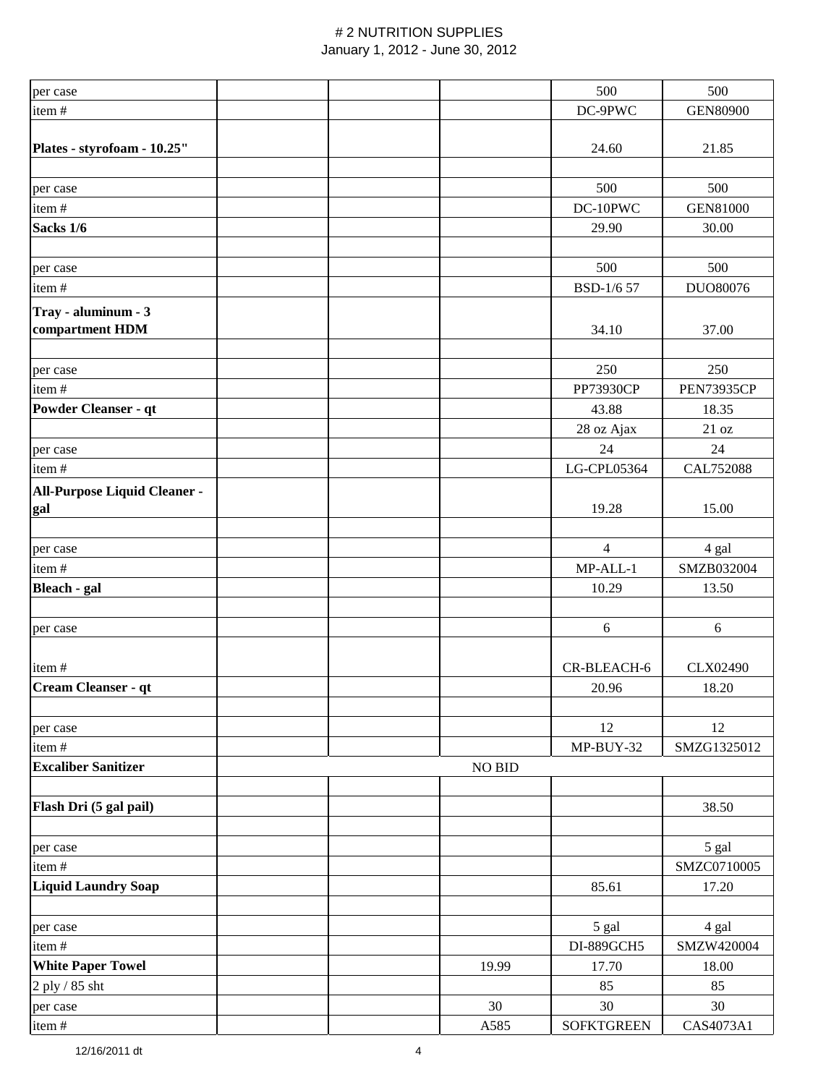| per case                     |  |               | 500               | 500               |
|------------------------------|--|---------------|-------------------|-------------------|
| item#                        |  |               | DC-9PWC           | <b>GEN80900</b>   |
|                              |  |               |                   |                   |
| Plates - styrofoam - 10.25"  |  |               | 24.60             | 21.85             |
|                              |  |               |                   |                   |
| per case                     |  |               | 500               | 500               |
| item#                        |  |               | DC-10PWC          | <b>GEN81000</b>   |
| Sacks 1/6                    |  |               | 29.90             | 30.00             |
|                              |  |               |                   |                   |
| per case                     |  |               | 500               | 500               |
| item#                        |  |               | BSD-1/6 57        | DUO80076          |
| Tray - aluminum - 3          |  |               |                   |                   |
| compartment HDM              |  |               | 34.10             | 37.00             |
|                              |  |               |                   |                   |
| per case                     |  |               | 250               | 250               |
| item#                        |  |               | <b>PP73930CP</b>  | <b>PEN73935CP</b> |
| <b>Powder Cleanser - qt</b>  |  |               | 43.88             | 18.35             |
|                              |  |               |                   | 21 oz             |
|                              |  |               | 28 oz Ajax        |                   |
| per case                     |  |               | 24                | 24                |
| item#                        |  |               | LG-CPL05364       | CAL752088         |
| All-Purpose Liquid Cleaner - |  |               |                   |                   |
| gal                          |  |               | 19.28             | 15.00             |
|                              |  |               |                   |                   |
| per case                     |  |               | $\overline{4}$    | 4 gal             |
| item#                        |  |               | MP-ALL-1          | SMZB032004        |
| Bleach - gal                 |  |               | 10.29             | 13.50             |
|                              |  |               |                   |                   |
| per case                     |  |               | 6                 | $6\,$             |
|                              |  |               |                   |                   |
| item#                        |  |               | CR-BLEACH-6       | CLX02490          |
| Cream Cleanser - qt          |  |               | 20.96             | 18.20             |
|                              |  |               |                   |                   |
| per case                     |  |               | 12                | 12                |
| item#                        |  |               | MP-BUY-32         | SMZG1325012       |
| <b>Excaliber Sanitizer</b>   |  | <b>NO BID</b> |                   |                   |
|                              |  |               |                   |                   |
| Flash Dri (5 gal pail)       |  |               |                   | 38.50             |
|                              |  |               |                   |                   |
| per case                     |  |               |                   | 5 gal             |
| item#                        |  |               |                   | SMZC0710005       |
| <b>Liquid Laundry Soap</b>   |  |               | 85.61             | 17.20             |
|                              |  |               |                   |                   |
| per case                     |  |               | 5 gal             | 4 gal             |
| item#                        |  |               | DI-889GCH5        | SMZW420004        |
| <b>White Paper Towel</b>     |  | 19.99         | 17.70             | 18.00             |
| 2 ply / 85 sht               |  |               | 85                | 85                |
|                              |  | 30            | 30                | 30                |
| per case                     |  |               |                   |                   |
| item#                        |  | A585          | <b>SOFKTGREEN</b> | CAS4073A1         |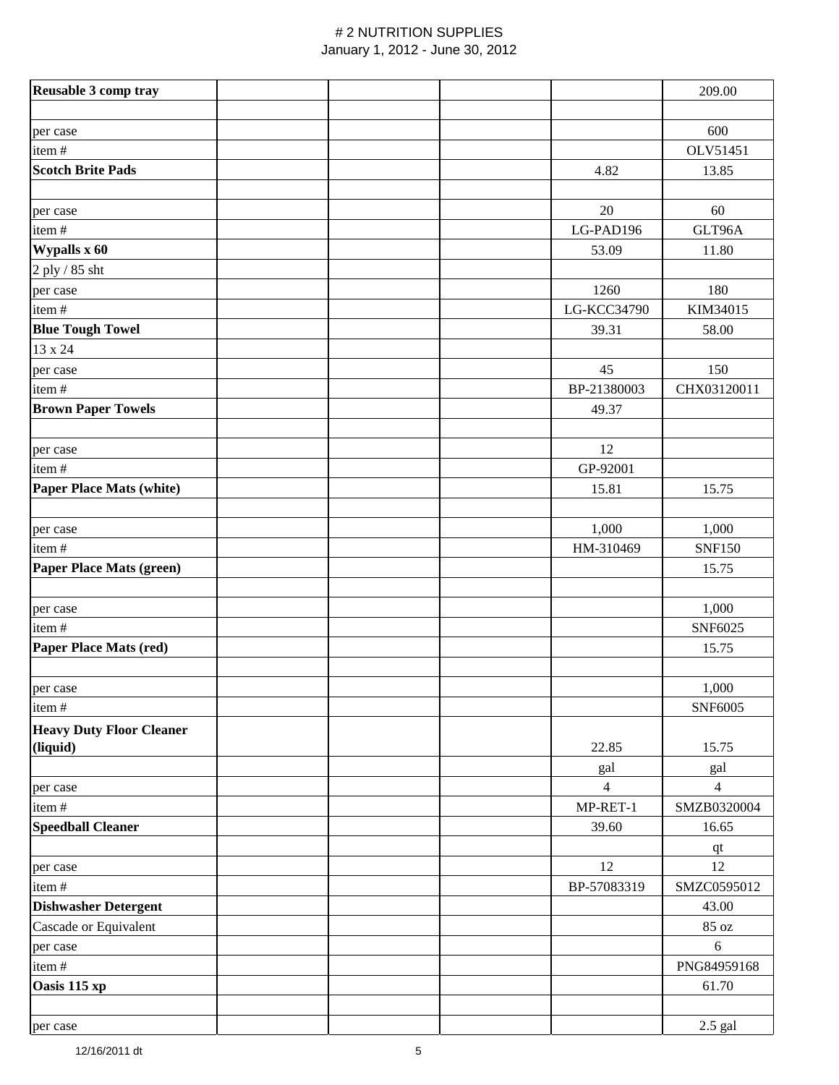| Reusable 3 comp tray            |             | 209.00         |
|---------------------------------|-------------|----------------|
|                                 |             |                |
| per case                        |             | 600            |
| item#                           |             | OLV51451       |
| <b>Scotch Brite Pads</b>        | 4.82        | 13.85          |
|                                 |             |                |
| per case                        | 20          | 60             |
| item#                           | LG-PAD196   | GLT96A         |
| Wypalls x 60                    | 53.09       | 11.80          |
| 2 ply / 85 sht                  |             |                |
| per case                        | 1260        | 180            |
| item#                           | LG-KCC34790 | KIM34015       |
| <b>Blue Tough Towel</b>         | 39.31       | 58.00          |
| 13 x 24                         |             |                |
| per case                        | 45          | 150            |
| item#                           | BP-21380003 | CHX03120011    |
| <b>Brown Paper Towels</b>       | 49.37       |                |
|                                 |             |                |
| per case                        | 12          |                |
| item#                           | GP-92001    |                |
| <b>Paper Place Mats (white)</b> | 15.81       | 15.75          |
|                                 |             |                |
| per case                        | 1,000       | 1,000          |
| item#                           | HM-310469   | <b>SNF150</b>  |
| Paper Place Mats (green)        |             | 15.75          |
|                                 |             |                |
| per case                        |             | 1,000          |
| item#                           |             | SNF6025        |
| <b>Paper Place Mats (red)</b>   |             | 15.75          |
|                                 |             |                |
| per case                        |             | 1,000          |
| item#                           |             | SNF6005        |
| <b>Heavy Duty Floor Cleaner</b> |             |                |
| (liquid)                        | 22.85       | 15.75          |
|                                 | gal         | gal            |
| per case                        | 4           | $\overline{4}$ |
| item#                           | MP-RET-1    | SMZB0320004    |
| <b>Speedball Cleaner</b>        | 39.60       | 16.65          |
|                                 |             | $q$ t          |
| per case                        | 12          | 12             |
| item#                           | BP-57083319 | SMZC0595012    |
| <b>Dishwasher Detergent</b>     |             | 43.00          |
| Cascade or Equivalent           |             | 85 oz          |
| per case                        |             | $\sqrt{6}$     |
| item#                           |             | PNG84959168    |
| Oasis 115 xp                    |             | 61.70          |
|                                 |             |                |
| per case                        |             | 2.5 gal        |